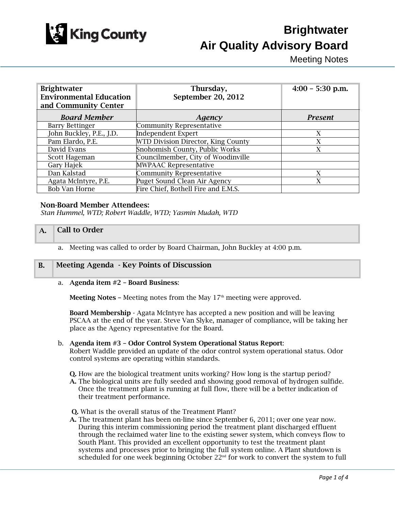

# **Brightwater Air Quality Advisory Board**

Meeting Notes

| <b>Brightwater</b><br><b>Environmental Education</b><br>and Community Center | Thursday,<br>September 20, 2012     | $4:00 - 5:30$ p.m. |
|------------------------------------------------------------------------------|-------------------------------------|--------------------|
| <b>Board Member</b>                                                          | Agency                              | <b>Present</b>     |
| <b>Barry Bettinger</b>                                                       | <b>Community Representative</b>     |                    |
| John Buckley, P.E., J.D.                                                     | <b>Independent Expert</b>           | X                  |
| Pam Elardo, P.E.                                                             | WTD Division Director, King County  | X                  |
| David Evans                                                                  | Snohomish County, Public Works      | X                  |
| Scott Hageman                                                                | Councilmember, City of Woodinville  |                    |
| Gary Hajek                                                                   | <b>MWPAAC Representative</b>        |                    |
| Dan Kalstad                                                                  | <b>Community Representative</b>     | X                  |
| Agata McIntyre, P.E.                                                         | Puget Sound Clean Air Agency        | X                  |
| <b>Bob Van Horne</b>                                                         | Fire Chief, Bothell Fire and E.M.S. |                    |

### Non-Board Member Attendees:

*Stan Hummel, WTD; Robert Waddle, WTD; Yasmin Mudah, WTD* 

### A. Call to Order

a. Meeting was called to order by Board Chairman, John Buckley at 4:00 p.m.

### B. Meeting Agenda - Key Points of Discussion

### a. Agenda item #2 – Board Business:

**Meeting Notes -** Meeting notes from the May  $17<sup>th</sup>$  meeting were approved.

Board Membership - Agata McIntyre has accepted a new position and will be leaving PSCAA at the end of the year. Steve Van Slyke, manager of compliance, will be taking her place as the Agency representative for the Board.

### b. Agenda item #3 – Odor Control System Operational Status Report:

Robert Waddle provided an update of the odor control system operational status. Odor control systems are operating within standards.

Q. How are the biological treatment units working? How long is the startup period?

- A. The biological units are fully seeded and showing good removal of hydrogen sulfide. Once the treatment plant is running at full flow, there will be a better indication of their treatment performance.
- Q. What is the overall status of the Treatment Plant?
- A. The treatment plant has been on-line since September 6, 2011; over one year now. During this interim commissioning period the treatment plant discharged effluent through the reclaimed water line to the existing sewer system, which conveys flow to South Plant. This provided an excellent opportunity to test the treatment plant systems and processes prior to bringing the full system online. A Plant shutdown is scheduled for one week beginning October  $22<sup>nd</sup>$  for work to convert the system to full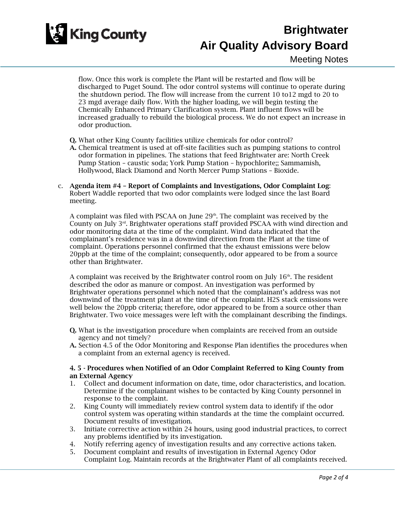

### **Brightwater Air Quality Advisory Board**

Meeting Notes

flow. Once this work is complete the Plant will be restarted and flow will be discharged to Puget Sound. The odor control systems will continue to operate during the shutdown period. The flow will increase from the current 10 to12 mgd to 20 to 23 mgd average daily flow. With the higher loading, we will begin testing the Chemically Enhanced Primary Clarification system. Plant influent flows will be increased gradually to rebuild the biological process. We do not expect an increase in odor production.

- Q. What other King County facilities utilize chemicals for odor control?
- A. Chemical treatment is used at off-site facilities such as pumping stations to control odor formation in pipelines. The stations that feed Brightwater are: North Creek Pump Station – caustic soda; York Pump Station – hypochlorite;; Sammamish, Hollywood, Black Diamond and North Mercer Pump Stations – Bioxide.
- c. Agenda item #4 Report of Complaints and Investigations, Odor Complaint Log: Robert Waddle reported that two odor complaints were lodged since the last Board meeting.

A complaint was filed with PSCAA on June  $29<sup>th</sup>$ . The complaint was received by the County on July 3<sup>rd</sup>. Brightwater operations staff provided PSCAA with wind direction and odor monitoring data at the time of the complaint. Wind data indicated that the complainant's residence was in a downwind direction from the Plant at the time of complaint. Operations personnel confirmed that the exhaust emissions were below 20ppb at the time of the complaint; consequently, odor appeared to be from a source other than Brightwater.

A complaint was received by the Brightwater control room on July  $16<sup>th</sup>$ . The resident described the odor as manure or compost. An investigation was performed by Brightwater operations personnel which noted that the complainant's address was not downwind of the treatment plant at the time of the complaint. H2S stack emissions were well below the 20ppb criteria; therefore, odor appeared to be from a source other than Brightwater. Two voice messages were left with the complainant describing the findings.

- Q. What is the investigation procedure when complaints are received from an outside agency and not timely?
- A. Section 4.5 of the Odor Monitoring and Response Plan identifies the procedures when a complaint from an external agency is received.

### 4. 5 - Procedures when Notified of an Odor Complaint Referred to King County from an External Agency

- 1. Collect and document information on date, time, odor characteristics, and location. Determine if the complainant wishes to be contacted by King County personnel in response to the complaint.
- 2. King County will immediately review control system data to identify if the odor control system was operating within standards at the time the complaint occurred. Document results of investigation.
- 3. Initiate corrective action within 24 hours, using good industrial practices, to correct any problems identified by its investigation.
- 4. Notify referring agency of investigation results and any corrective actions taken.
- 5. Document complaint and results of investigation in External Agency Odor Complaint Log. Maintain records at the Brightwater Plant of all complaints received.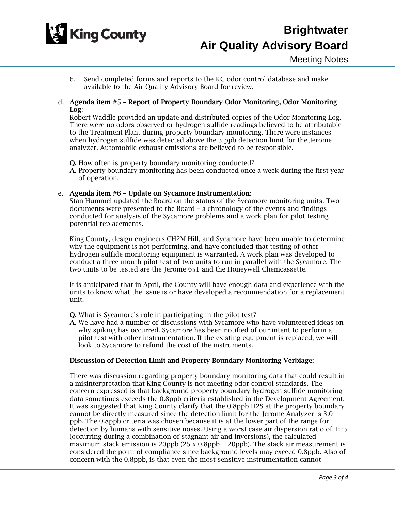

- 6. Send completed forms and reports to the KC odor control database and make available to the Air Quality Advisory Board for review.
- d. Agenda item #5 Report of Property Boundary Odor Monitoring, Odor Monitoring Log:

Robert Waddle provided an update and distributed copies of the Odor Monitoring Log. There were no odors observed or hydrogen sulfide readings believed to be attributable to the Treatment Plant during property boundary monitoring. There were instances when hydrogen sulfide was detected above the 3 ppb detection limit for the Jerome analyzer. Automobile exhaust emissions are believed to be responsible.

Q. How often is property boundary monitoring conducted?

A. Property boundary monitoring has been conducted once a week during the first year of operation.

### e. Agenda item #6 – Update on Sycamore Instrumentation:

Stan Hummel updated the Board on the status of the Sycamore monitoring units. Two documents were presented to the Board – a chronology of the events and findings conducted for analysis of the Sycamore problems and a work plan for pilot testing potential replacements.

King County, design engineers CH2M Hill, and Sycamore have been unable to determine why the equipment is not performing, and have concluded that testing of other hydrogen sulfide monitoring equipment is warranted. A work plan was developed to conduct a three-month pilot test of two units to run in parallel with the Sycamore. The two units to be tested are the Jerome 651 and the Honeywell Chemcassette.

It is anticipated that in April, the County will have enough data and experience with the units to know what the issue is or have developed a recommendation for a replacement unit.

- Q. What is Sycamore's role in participating in the pilot test?
- A. We have had a number of discussions with Sycamore who have volunteered ideas on why spiking has occurred. Sycamore has been notified of our intent to perform a pilot test with other instrumentation. If the existing equipment is replaced, we will look to Sycamore to refund the cost of the instruments.

### Discussion of Detection Limit and Property Boundary Monitoring Verbiage:

There was discussion regarding property boundary monitoring data that could result in a misinterpretation that King County is not meeting odor control standards. The concern expressed is that background property boundary hydrogen sulfide monitoring data sometimes exceeds the 0.8ppb criteria established in the Development Agreement. It was suggested that King County clarify that the 0.8ppb H2S at the property boundary cannot be directly measured since the detection limit for the Jerome Analyzer is 3.0 ppb. The 0.8ppb criteria was chosen because it is at the lower part of the range for detection by humans with sensitive noses. Using a worst case air dispersion ratio of 1:25 (occurring during a combination of stagnant air and inversions), the calculated maximum stack emission is 20ppb (25 x 0.8ppb = 20ppb). The stack air measurement is considered the point of compliance since background levels may exceed 0.8ppb. Also of concern with the 0.8ppb, is that even the most sensitive instrumentation cannot